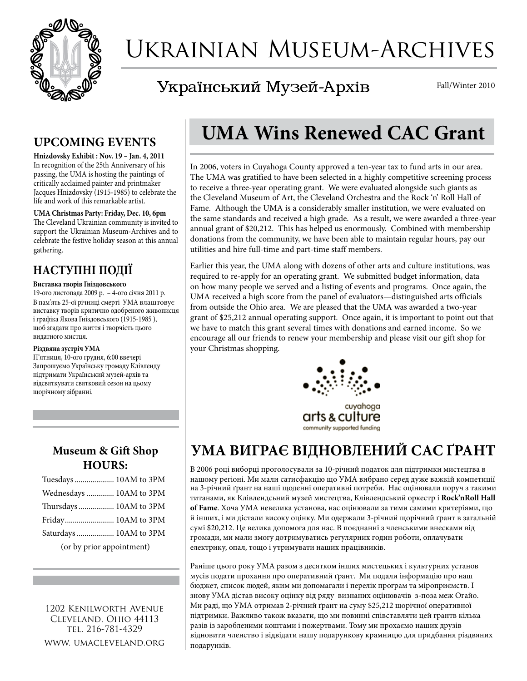

# Ukrainian Museum-Archives

Український Музей-Архів

Fall/Winter 2010

#### **UPCOMING EVENTS**

**Hnizdovsky Exhibit : Nov. 19 – Jan. 4, 2011** In recognition of the 25th Anniversary of his passing, the UMA is hosting the paintings of critically acclaimed painter and printmaker Jacques Hnizdovsky (1915-1985) to celebrate the life and work of this remarkable artist.

**UMA Christmas Party: Friday, Dec. 10, 6pm** The Cleveland Ukrainian community is invited to support the Ukrainian Museum-Archives and to celebrate the festive holiday season at this annual gathering.

## **НАСТУПНІ ПОДІЇ**

#### **Виставка творів Гніздовського**

19**-**ого листопада 2009 р. – 4**-**ого січня 2011 р. В пам'ять 25-ої річниці смерті УМА влаштовує виставку творів критично одобреного живописця і графіка Якова Гніздовського (1915-1985 ), щоб згадати про життя і творчість цього видатного мистця.

#### **Різдвяна зустріч УМА**

П'ятниця, 10**-**ого грудня, 6:00 ввечері Запрошуємо Українську громаду Клівленду підтримати Український музей-архів та відсвяткувати святковий сезон на цьому щорічному зібранні.

#### **Museum & Gift Shop Hours:**

| Tuesdays  10AM to 3PM     |
|---------------------------|
| Wednesdays  10AM to 3PM   |
| Thursdays  10AM to 3PM    |
|                           |
| Saturdays  10AM to 3PM    |
| (or by prior appointment) |

1202 Kenilworth Avenue Cleveland, Ohio 44113 tel. 216-781-4329 www. umacleveland.org

# **UMA Wins Renewed CAC Grant**

In 2006, voters in Cuyahoga County approved a ten-year tax to fund arts in our area. The UMA was gratified to have been selected in a highly competitive screening process to receive a three-year operating grant. We were evaluated alongside such giants as the Cleveland Museum of Art, the Cleveland Orchestra and the Rock 'n' Roll Hall of Fame. Although the UMA is a considerably smaller institution, we were evaluated on the same standards and received a high grade. As a result, we were awarded a three-year annual grant of \$20,212. This has helped us enormously. Combined with membership donations from the community, we have been able to maintain regular hours, pay our utilities and hire full-time and part-time staff members.

Earlier this year, the UMA along with dozens of other arts and culture institutions, was required to re-apply for an operating grant. We submitted budget information, data on how many people we served and a listing of events and programs. Once again, the UMA received a high score from the panel of evaluators—distinguished arts officials from outside the Ohio area. We are pleased that the UMA was awarded a two-year grant of \$25,212 annual operating support. Once again, it is important to point out that we have to match this grant several times with donations and earned income. So we encourage all our friends to renew your membership and please visit our gift shop for your Christmas shopping.



community supported funding

# **УМА ВИГРАЄ ВІДНОВЛЕНИЙ САС ҐРАНТ**

В 2006 році виборці проголосували за 10-річний податок для підтримки мистецтва в нашому регіоні. Ми мали сатисфакцію що УМА вибрано серед дуже важкій компетиції на 3-річний ґрaнт на наші щоденні оперативні потреби. Нас оцінювали поруч з такими титанами, як Клівлендсьний музей мистецтва, Клівлендський оркестр і **Rock'nRoll Hall of Fame**. Хоча УМА невелика установа, нас оцінювали за тими самими критеріями, що й інших, і ми дістали високу оцінку. Ми одержали 3-річний щорічний ґрaнт в загальній сумі \$20,212. Це велика допомога для нас. В поєднанні з членськими внесками від громади, ми мали змогу дотримуватись регулярних годин роботи, оплачувати електрику, опал, тощо і утримувати наших працівників.

Раніше цього року УМА разом з десятком інших мистецьких і культурних установ мусів подати прохання про оперативний ґрaнт. Ми подали інформацію про наш бюджет, список людей, яким ми допомагали і перелік програм та міроприємств. І знову УМА дістав високу оцінку від ряду визнаних оцінювачів з-поза меж Огайо. Ми раді, що УМА отримав 2-річний ґрaнт на суму \$25,212 щорічної оперативної підтримки. Важливо також вказати, що ми повинні співставляти цей грантв кілька разів із заробленими коштами і пожертвами. Тому ми прохаємо наших друзів відновити членство і відвідати нашу подарункову крамницю для придбання різдвяних подарунків.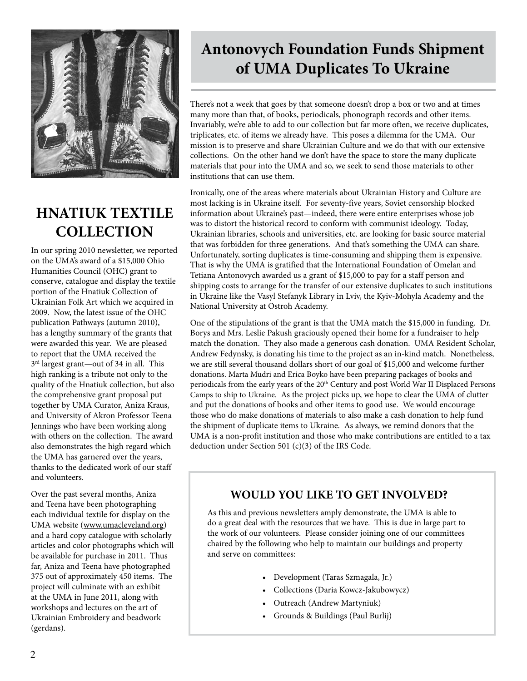

## **HNATIUK TEXTILE COLLECTION**

In our spring 2010 newsletter, we reported on the UMA's award of a \$15,000 Ohio Humanities Council (OHC) grant to conserve, catalogue and display the textile portion of the Hnatiuk Collection of Ukrainian Folk Art which we acquired in 2009. Now, the latest issue of the OHC publication Pathways (autumn 2010), has a lengthy summary of the grants that were awarded this year. We are pleased to report that the UMA received the 3rd largest grant—out of 34 in all. This high ranking is a tribute not only to the quality of the Hnatiuk collection, but also the comprehensive grant proposal put together by UMA Curator, Aniza Kraus, and University of Akron Professor Teena Jennings who have been working along with others on the collection. The award also demonstrates the high regard which the UMA has garnered over the years, thanks to the dedicated work of our staff and volunteers.

Over the past several months, Aniza and Teena have been photographing each individual textile for display on the UMA website (www.umacleveland.org) and a hard copy catalogue with scholarly articles and color photographs which will be available for purchase in 2011. Thus far, Aniza and Teena have photographed 375 out of approximately 450 items. The project will culminate with an exhibit at the UMA in June 2011, along with workshops and lectures on the art of Ukrainian Embroidery and beadwork (gerdans).

# **Antonovych Foundation Funds Shipment of UMA Duplicates To Ukraine**

There's not a week that goes by that someone doesn't drop a box or two and at times many more than that, of books, periodicals, phonograph records and other items. Invariably, we're able to add to our collection but far more often, we receive duplicates, triplicates, etc. of items we already have. This poses a dilemma for the UMA. Our mission is to preserve and share Ukrainian Culture and we do that with our extensive collections. On the other hand we don't have the space to store the many duplicate materials that pour into the UMA and so, we seek to send those materials to other institutions that can use them.

Ironically, one of the areas where materials about Ukrainian History and Culture are most lacking is in Ukraine itself. For seventy-five years, Soviet censorship blocked information about Ukraine's past—indeed, there were entire enterprises whose job was to distort the historical record to conform with communist ideology. Today, Ukrainian libraries, schools and universities, etc. are looking for basic source material that was forbidden for three generations. And that's something the UMA can share. Unfortunately, sorting duplicates is time-consuming and shipping them is expensive. That is why the UMA is gratified that the International Foundation of Omelan and Tetiana Antonovych awarded us a grant of \$15,000 to pay for a staff person and shipping costs to arrange for the transfer of our extensive duplicates to such institutions in Ukraine like the Vasyl Stefanyk Library in Lviv, the Kyiv-Mohyla Academy and the National University at Ostroh Academy.

One of the stipulations of the grant is that the UMA match the \$15,000 in funding. Dr. Borys and Mrs. Leslie Pakush graciously opened their home for a fundraiser to help match the donation. They also made a generous cash donation. UMA Resident Scholar, Andrew Fedynsky, is donating his time to the project as an in-kind match. Nonetheless, we are still several thousand dollars short of our goal of \$15,000 and welcome further donations. Marta Mudri and Erica Boyko have been preparing packages of books and periodicals from the early years of the 20<sup>th</sup> Century and post World War II Displaced Persons Camps to ship to Ukraine. As the project picks up, we hope to clear the UMA of clutter and put the donations of books and other items to good use. We would encourage those who do make donations of materials to also make a cash donation to help fund the shipment of duplicate items to Ukraine. As always, we remind donors that the UMA is a non-profit institution and those who make contributions are entitled to a tax deduction under Section 501 (c)(3) of the IRS Code.

#### **WOULD YOU LIKE TO GET INVOLVED?**

As this and previous newsletters amply demonstrate, the UMA is able to do a great deal with the resources that we have. This is due in large part to the work of our volunteers. Please consider joining one of our committees chaired by the following who help to maintain our buildings and property and serve on committees:

- • Development (Taras Szmagala, Jr.)
- • Collections (Daria Kowcz-Jakubowycz)
- • Outreach (Andrew Martyniuk)
- • Grounds & Buildings (Paul Burlij)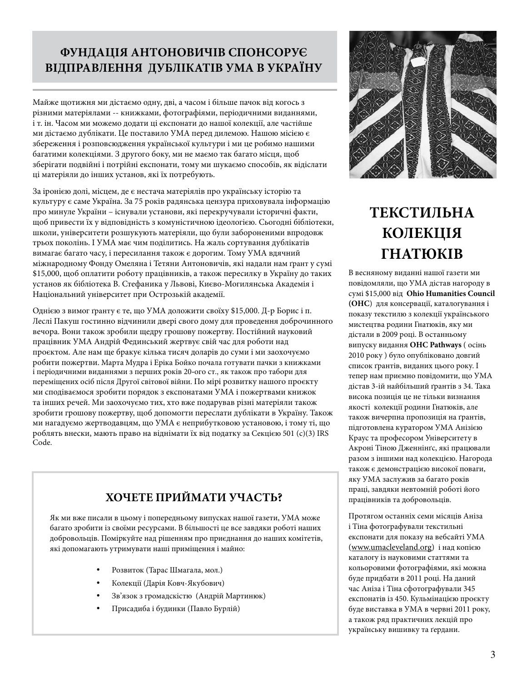## **ФУНДАЦІЯ АНТОНОВИЧІВ СПОНСОРУЄ ВІДПРАВЛЕННЯ ДУБЛІКАТІВ УМА В УКРАЇНУ**

Майже щотижня ми дістаємо одну, дві, а часом і більше пачок від когось з різними матеріялами -- книжками, фотографіями, періодичними виданнями, і т. ін. Часом ми можемо додати ці експонати до нашої колекції, але частійше ми дістаємо дублікати. Це поставило УМА перед дилемою. Нашою місією є збереження і розповсюдження української культури і ми це робимо нашими багатими колекціями. З другого боку, ми не маємо так багато місця, щоб зберігати подвійні і потрійні експонати, тому ми шукаємо способів, як відіслати ці матеріяли до інших установ, які їх потребують.

За іронією долі, місцем, де є нестача матеріялів про українську історію та культуру є саме Україна. За 75 років радянська цензура приховувала інформацію про минуле України – існували установи, які перекручували історичні факти, щоб привести їх у відповідність з комуністичною ідеологією. Сьогодні бібліотеки, школи, університети розшукують матеріяли, що були забороненими впродовж трьох поколінь. І УМА має чим поділитись. На жаль сортування дублікатів вимагає багато часу, і пересилання також є дорогим. Тому УМА вдячний міжнародному Фонду Омеляна і Тетяни Антоновичів, які надали нам ґрaнт у сумі \$15,000, щоб оплатити роботу працівників, а також пересилку в Україну до таких установ як бібліотека В. Стефаника у Львові, Києво-Могилянська Академія і Національний університет при Острозькій академії.

Однією з вимог ґрaнту є те, що УМА доложити своїху \$15,000. Д-р Борис і п. Леслі Пакуш гостинно відчинили двері свого дому для проведення доброчинного вечора. Вони також зробили щедру грошову пожертву. Постійний науковий працівник УМА Андрій Фединський жертвує свій час для роботи над проєктом. Але нам ще бракує кілька тисяч доларів до суми і ми заохочуємо робити пожертви. Марта Мудра і Еріка Бойко почала готувати пачки з книжками і періодичними виданнями з перших років 20**-**ого ст., як також про табори для переміщених осіб після Другої світової війни. По мірі розвитку нашого проєкту ми сподіваємося зробити порядок з експонатами УМА і пожертвами книжок та інших речей. Ми заохочуємо тих, хто вже подарував різні матеріяли також зробити грошову пожертву, щоб допомогти переслати дублікати в Україну. Також ми нагадуємо жертводавцям, що УМА є неприбутковою установою, і тому ті, що роблять внески, мають право на віднімати їх від податку за Секцією 501 (с)(3) IRS Code.

#### **ХОЧЕТЕ ПРИЙМАТИ УЧАСТЬ?**

Як ми вже писали в цьому і попередньому випусках нашої газети, УМА може багато зробити із своїми ресурсами. В більшості це все завдяки роботі наших добровольців. Поміркуйте над рішенням про приєднання до наших комітетів, які допомагають утримувати наші приміщення і майно:

- Розвиток (Тарас Шмагала, мол.)
- Колекції (Дарія Ковч-Якубович)
- Зв'язок з громадскістю (Андрій Мартинюк)
- Присадиба і будинки (Павло Бурлій)



# **ТЕКСТИЛЬНА КОЛЕКЦІЯ ГНАТЮКІВ**

В весняному виданні нашої газети ми повідомляли, що УМА дістав нагороду в сумі \$15,000 від **Ohio Humanities Council (ОНС**) для консервації, каталогування і показу текстилю з колекції українського мистецтва родини Гнатюків, яку ми дістали в 2009 році. В останньому випуску видання **ОНС Pathways** ( осінь 2010 року ) було опубліковано довгий список ґрантів, виданих цього року. І тепер нам приємно повідомити, що УМА дістав 3-ій найбільший ґрантів з 34. Така висока позиція це не тільки визнання якості колекції родини Гнатюків, але також вичерпна пропозиція на ґрантів, підготовлена куратором УМА Анізією Краус та професором Університету в Акроні Тіною Дженнінґс, які працювали разом з іншими над колекцією. Нагорода також є демонстрацією високої поваги, яку УМА заслужив за багато років праці, завдяки невтомній роботі його працівників та добровольців.

Протягом останніх семи місяців Аніза і Тіна фотографували текстильні експонати для показу на вебсайті УМА (www.umacleveland.org) і над копією каталогу із науковими статтями та кольоровими фотографіями, які можна буде придбати в 2011 році. На даний час Аніза і Тіна сфотографували 345 експонатів із 450. Кульмінацією проєкту буде виставка в УМА в червні 2011 року, а також ряд практичних лекцій про українську вишивку та ґердани.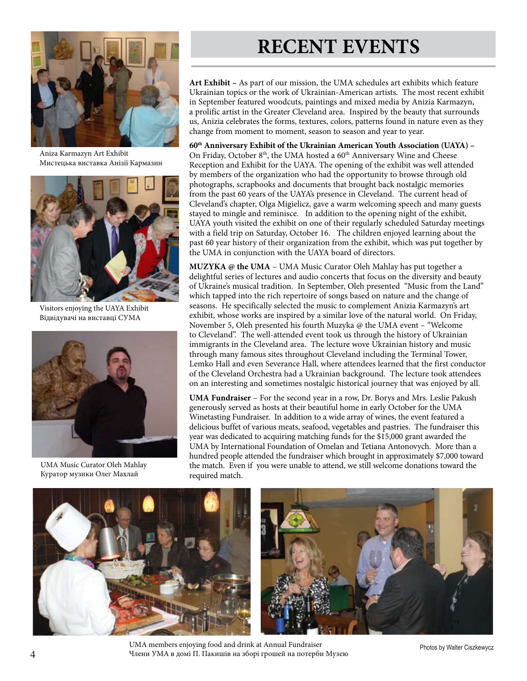

Aniza Karmazyn Art Exhibit Мистецька виставка Анізії Кармазин



Visitors enjoying the UAYA Exhibit Відвідувачі на виставці СУМА



UMA Music Curator Oleh Mahlay Куратор музики Олег Махлай

# **RECENT EVENTS**

**Art Exhibit –** As part of our mission, the UMA schedules art exhibits which feature Ukrainian topics or the work of Ukrainian-American artists. The most recent exhibit in September featured woodcuts, paintings and mixed media by Anizia Karmazyn, a prolific artist in the Greater Cleveland area. Inspired by the beauty that surrounds us, Anizia celebrates the forms, textures, colors, patterns found in nature even as they change from moment to moment, season to season and year to year.

**60th Anniversary Exhibit of the Ukrainian American Youth Association (UAYA) –** On Friday, October 8<sup>th</sup>, the UMA hosted a 60<sup>th</sup> Anniversary Wine and Cheese Reception and Exhibit for the UAYA. The opening of the exhibit was well attended by members of the organization who had the opportunity to browse through old photographs, scrapbooks and documents that brought back nostalgic memories from the past 60 years of the UAYA's presence in Cleveland. The current head of Cleveland's chapter, Olga Migielicz, gave a warm welcoming speech and many guests stayed to mingle and reminisce. In addition to the opening night of the exhibit, UAYA youth visited the exhibit on one of their regularly scheduled Saturday meetings with a field trip on Saturday, October 16. The children enjoyed learning about the past 60 year history of their organization from the exhibit, which was put together by the UMA in conjunction with the UAYA board of directors.

**MUZYKA @ the UMA** – UMA Music Curator Oleh Mahlay has put together a delightful series of lectures and audio concerts that focus on the diversity and beauty of Ukraine's musical tradition. In September, Oleh presented "Music from the Land" which tapped into the rich repertoire of songs based on nature and the change of seasons. He specifically selected the music to complement Anizia Karmazyn's art exhibit, whose works are inspired by a similar love of the natural world. On Friday, November 5, Oleh presented his fourth Muzyka @ the UMA event – "Welcome to Cleveland". The well-attended event took us through the history of Ukrainian immigrants in the Cleveland area. The lecture wove Ukrainian history and music through many famous sites throughout Cleveland including the Terminal Tower, Lemko Hall and even Severance Hall, where attendees learned that the first conductor of the Cleveland Orchestra had a Ukrainian background. The lecture took attendees on an interesting and sometimes nostalgic historical journey that was enjoyed by all.

**UMA Fundraiser** – For the second year in a row, Dr. Borys and Mrs. Leslie Pakush generously served as hosts at their beautiful home in early October for the UMA Winetasting Fundraiser. In addition to a wide array of wines, the event featured a delicious buffet of various meats, seafood, vegetables and pastries. The fundraiser this year was dedicated to acquiring matching funds for the \$15,000 grant awarded the UMA by International Foundation of Omelan and Tetiana Antonovych. More than a hundred people attended the fundraiser which brought in approximately \$7,000 toward the match. Even if you were unable to attend, we still welcome donations toward the required match.





UMA members enjoying food and drink at Annual Fundraiser Члени УМА в домі П. Пакишів на зборі грошей на потерби Музею

Photos by Walter Ciszkewycz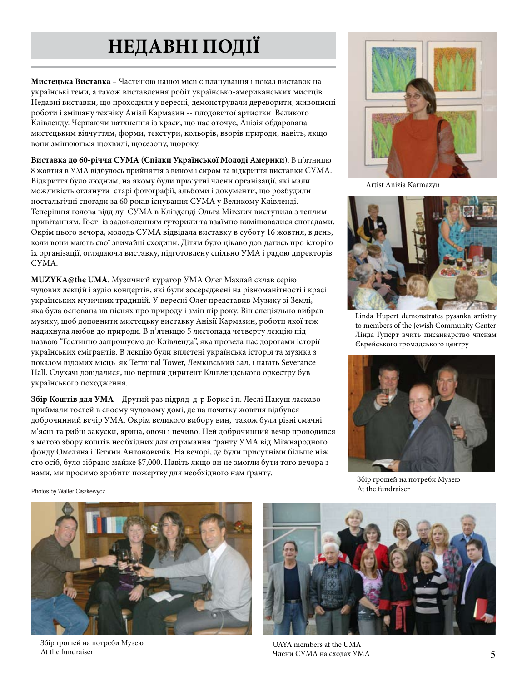# **НЕДАВНІ ПОДІЇ**

**Мистецька Виставка –** Частиною нашої місії є планування і показ виставок на українські теми, а також виставлення робіт українсько-американських мистців. Недавні виставки, що проходили у вересні, демонстрували дереворити, живописні роботи і змішану техніку Анізії Кармазин -- плодовитої артистки Великого Клівленду. Черпаючи натхнення із краси, що нас оточує, Анізія обдарована мистецьким відчуттям, форми, текстури, кольорів, взорів природи, навіть, якщо вони змінюються щохвилі, щосезону, щороку.

**Виставка до 60-річчя СУМА (Спілки Української Молоді Америки**). В п'ятницю 8 жовтня в УМА відбулось прийняття з вином і сиром та відкриття виставки СУМА. Відкриття було людним, на якому були присутні члени організації, які мали можливість оглянути старі фотографії, альбоми і документи, що розбудили ностальгічні спогади за 60 років існування СУМА у Великому Клівленді. Теперішня голова відділу СУМА в Клівденді Ольга Мігелич виступила з теплим привітанням. Гості із задоволенням гуторили та взаїмно вимінювалися спогадами. Окрім цього вечора, молодь СУМА відвідала виставку в суботу 16 жовтня, в день, коли вони мають свої звичайні сходини. Дітям було цікаво довідатись про історію їх організації, оглядаючи виставку, підготовлену спільно УМА і радою директорів СУМА.

**MUZYKA@the UMA**. Музичний куратор УМА Олег Махлай склав серію чудових лекцій і аудіо концертів, які були зосереджені на різноманітності і красі українських музичних традицій. У вересні Олег представив Mузику зі Землі, яка була основана на піснях про природу і змін пір року. Він спеціяльно вибрав музику, щоб доповнити мистецьку виставку Анізії Кармазин, роботи якої теж надихнула любов до природи. В п'ятницю 5 листопада четверту лекцію під назвою "Гостинно запрошуємо до Клівленда", яка провела нас дорогами історії українських емігрантів. В лекцію були вплетені українська історія та музика з показом відомих місць як Terminal Tower, Лемківський зал, і навіть Severance Hall. Слухачі довідалися, що перший диригент Клівлендського оркестру був українського походження.

**Збір Коштів для УМА –** Другий раз підряд д-р Борис і п. Леслі Пакуш ласкаво приймали гостей в своєму чудовому домі, де на початку жовтня відбувся доброчинний вечір УМА. Окрім великого вибору вин, також були різні смачні м'ясні та рибні закуски, ярина, овочі і печиво. Цей доброчинний вечір проводився з метою збору коштів необхідних для отримання ґранту УМА від Міжнародного фонду Омеляна і Тетяни Антоновичів. На вечорі, де були присутніми більше ніж сто осіб, було зібрано майже \$7,000. Навіть якщо ви не змогли бути того вечора з нами, ми просимо зробити пожертву для необхідного нам ґранту.



Artist Anizia Karmazyn



Linda Hupert demonstrates pysanka artistry to members of the Jewish Community Center Лінда Гуперт вчить писанкарство членам Єврейського громадського центру



Збір грошей на потреби Музею At the fundraiser

Photos by Walter Ciszkewycz



Збір грошей на потреби Музею At the fundraiser



UAYA members at the UMA Члени СУМА на сходах УМА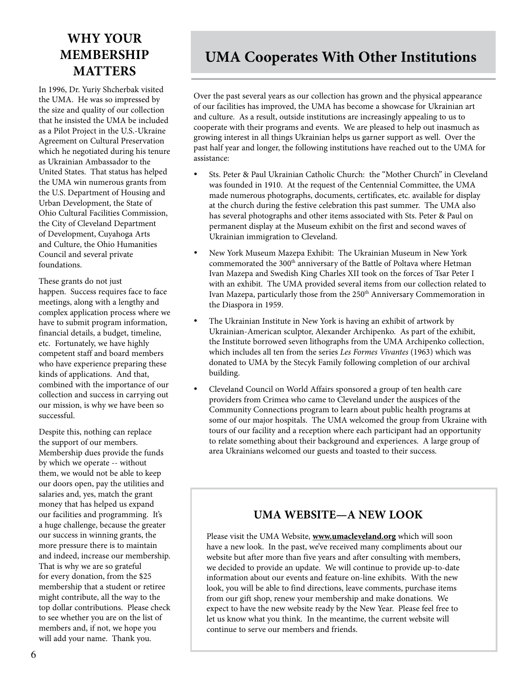## **WHY YOUR MEMBERSHIP MATTERS**

In 1996, Dr. Yuriy Shcherbak visited the UMA. He was so impressed by the size and quality of our collection that he insisted the UMA be included as a Pilot Project in the U.S.-Ukraine Agreement on Cultural Preservation which he negotiated during his tenure as Ukrainian Ambassador to the United States. That status has helped the UMA win numerous grants from the U.S. Department of Housing and Urban Development, the State of Ohio Cultural Facilities Commission, the City of Cleveland Department of Development, Cuyahoga Arts and Culture, the Ohio Humanities Council and several private foundations.

These grants do not just happen. Success requires face to face meetings, along with a lengthy and complex application process where we have to submit program information, financial details, a budget, timeline, etc. Fortunately, we have highly competent staff and board members who have experience preparing these kinds of applications. And that, combined with the importance of our collection and success in carrying out our mission, is why we have been so successful.

Despite this, nothing can replace the support of our members. Membership dues provide the funds by which we operate -- without them, we would not be able to keep our doors open, pay the utilities and salaries and, yes, match the grant money that has helped us expand our facilities and programming. It's a huge challenge, because the greater our success in winning grants, the more pressure there is to maintain and indeed, increase our membership. That is why we are so grateful for every donation, from the \$25 membership that a student or retiree might contribute, all the way to the top dollar contributions. Please check to see whether you are on the list of members and, if not, we hope you will add your name. Thank you.

## **UMA Cooperates With Other Institutions**

Over the past several years as our collection has grown and the physical appearance of our facilities has improved, the UMA has become a showcase for Ukrainian art and culture. As a result, outside institutions are increasingly appealing to us to cooperate with their programs and events. We are pleased to help out inasmuch as growing interest in all things Ukrainian helps us garner support as well. Over the past half year and longer, the following institutions have reached out to the UMA for assistance:

- Sts. Peter & Paul Ukrainian Catholic Church: the "Mother Church" in Cleveland was founded in 1910. At the request of the Centennial Committee, the UMA made numerous photographs, documents, certificates, etc. available for display at the church during the festive celebration this past summer. The UMA also has several photographs and other items associated with Sts. Peter & Paul on permanent display at the Museum exhibit on the first and second waves of Ukrainian immigration to Cleveland.
- New York Museum Mazepa Exhibit: The Ukrainian Museum in New York commemorated the 300<sup>th</sup> anniversary of the Battle of Poltava where Hetman Ivan Mazepa and Swedish King Charles XII took on the forces of Tsar Peter I with an exhibit. The UMA provided several items from our collection related to Ivan Mazepa, particularly those from the 250<sup>th</sup> Anniversary Commemoration in the Diaspora in 1959.
- The Ukrainian Institute in New York is having an exhibit of artwork by Ukrainian-American sculptor, Alexander Archipenko. As part of the exhibit, the Institute borrowed seven lithographs from the UMA Archipenko collection, which includes all ten from the series *Les Formes Vivantes* (1963) which was donated to UMA by the Stecyk Family following completion of our archival building.
- Cleveland Council on World Affairs sponsored a group of ten health care providers from Crimea who came to Cleveland under the auspices of the Community Connections program to learn about public health programs at some of our major hospitals. The UMA welcomed the group from Ukraine with tours of our facility and a reception where each participant had an opportunity to relate something about their background and experiences. A large group of area Ukrainians welcomed our guests and toasted to their success.

#### **UMA WEBSITE—A NEW LOOK**

Please visit the UMA Website, **www.umacleveland.org** which will soon have a new look. In the past, we've received many compliments about our website but after more than five years and after consulting with members, we decided to provide an update. We will continue to provide up-to-date information about our events and feature on-line exhibits. With the new look, you will be able to find directions, leave comments, purchase items from our gift shop, renew your membership and make donations. We expect to have the new website ready by the New Year. Please feel free to let us know what you think. In the meantime, the current website will continue to serve our members and friends.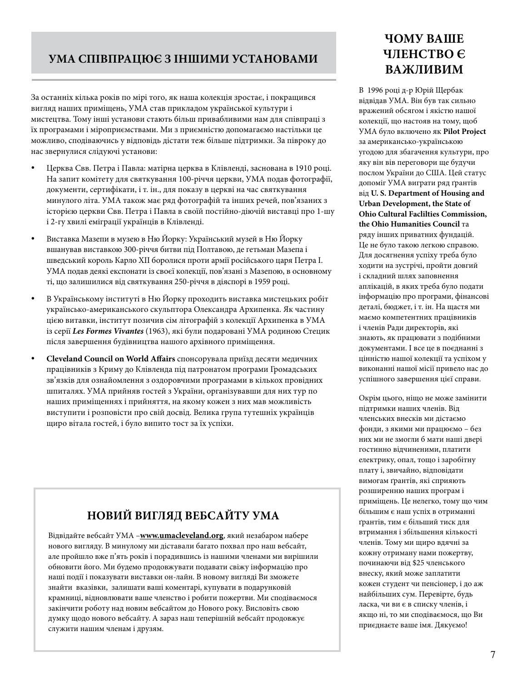#### **УМА СПІВПРАЦЮЄ З ІНШИМИ УСТАНОВАМИ**

За останніх кілька років по мірі того, як наша колекція зростає, і покращився вигляд наших приміщень, УМА став прикладом української культури і мистецтва. Тому інші установи стають більш привабливими нам для співпраці з їх програмами і міроприємствами. Ми з приємністю допомагаємо настільки це можливо, сподіваючись у відповідь дістати теж більше підтримки. За півроку до нас звернулися слідуючі установи:

- Церква Свв. Петра і Павла: матірна церква в Клівленді, заснована в 1910 році. На запит комітету для святкування 100-річчя церкви, УМА подав фотографії, документи, сертифікати, і т. ін., для показу в церкві на час святкування минулого літа. УМА також має ряд фотографій та інших речей, пов'язаних з історією церкви Свв. Петра і Павла в своїй постійно-діючій виставці про 1-шу і 2-гу хвилі еміграції українців в Клівленді.
- Виставка Мазепи в музею в Ню Йорку: Український музей в Ню Йорку вшанував виставкою 300-річчя битви під Полтавою, де гетьман Мазепа і шведський король Карлo XII боролися проти армії російського царя Петра I. УМА подав деякі експонати із своєї колекції, пов'язані з Мазепою, в основному ті, що залишилися від святкування 250-річчя в діяспорі в 1959 році.
- В Українському інституті в Ню Йорку проходить виставка мистецьких робіт українсько-американського скульптора Олександра Архипенка. Як частину цією витавки, інститут позичив сім літографій з колекції Архипенка в УМА із серії *Les Formes Vivantes* (1963), які були подаровані УМА родиною Стецик після завершення будівництва нашого архівного приміщення.
- **Cleveland Council on World Affairs** спонсорувала приїзд десяти медичних працівників з Криму до Клівленда під патронатом програми Громадських зв'язків для ознайомлення з оздоровчими програмами в кількох провідних шпиталях. УМА прийняв гостей з України, організувавши для них тур по наших приміщеннях і прийняття, на якому кожен з них мав можливість виступити і розповісти про свій досвід. Велика група тутешніх українців щиро вітала гостей, і було випито тост за їх успіхи.

### **НОВИЙ ВИГЛЯД ВЕБСАЙТУ УМА**

Відвідайте вебсайт УМА –**www.umacleveland.org**, який незабаром набере нового вигляду. В минулому ми діставали багато похвал про наш вебсайт, але пройшло вже п'ять років і порадившись із нашими членами ми вирішили обновити його. Ми будемо продовжувати подавати свіжу інформацію про наші події і показувати виставки он-лайн. В новому вигляді Ви зможете знайти вказівки, залишати ваші коментарі, купувати в подарунковій крамниці, відновлювати ваше членство і робити пожертви. Ми сподіваємося закінчити роботу над новим вебсайтом до Нового року. Висловіть свою думку щодо нового вебсайту. А зараз наш теперішній вебсайт продовжує служити нашим членам і друзям.

#### **ЧОМУ ВАШЕ ЧЛЕНСТВО Є ВАЖЛИВИМ**

В 1996 році д-р Юрій Щербак відвідав УМА. Він був так сильно вражений обсягом і якістю нашої колекції, що настояв на тому, щоб УМА було включено як **Pilot Project** за американсько-українською угодою для збагачення культури, про яку він вів переговори ще будучи послом України до США. Цей статус допоміг УМА виграти ряд ґрантів від **U. S. Department of Housing and Urban Development, the State of Ohio Cultural Faclilties Commission, the Ohio Humanities Council** та ряду інших приватних фундацій. Це не було такою легкою справою. Для досягнення успіху треба було ходити на зустрічі, пройти довгий і складний шлях заповнення аплікацій, в яких треба було подати інформацію про програми, фінансові деталі, бюджет, і т. ін. На щастя ми маємо компетентних працівників і членів Ради директорів, які знають, як працювати з подібними документами. І все це в поєднанні з цінністю нашої колекції та успіхом у виконанні нашої місії привело нас до успішного завершення цієї справи.

Окрім цього, ніщо не може замінити підтримки наших членів. Від членських внесків ми дістаємо фонди, з якими ми працюємо – без них ми не змогли б мати наші двері гостинно відчиненими, платити електрику, опал, тощо і заробітну плату і, звичайно, відповідати вимогам ґрантів, які сприяють розширенню наших програм і приміщень. Це нелегко, тому що чим більшим є наш успіх в отриманні ґрантів, тим є більший тиск для втримання і збільшення кількості членів. Тому ми щиро вдячні за кожну отриману нами пожертву, починаючи від \$25 членського внеску, який може заплатити кожен студент чи пенсіонер, і до аж найбільших сум. Перевірте, будь ласка, чи ви є в списку членів, і якщо ні, то ми сподіваємося, що Ви приєднаєте ваше імя. Дякуємо!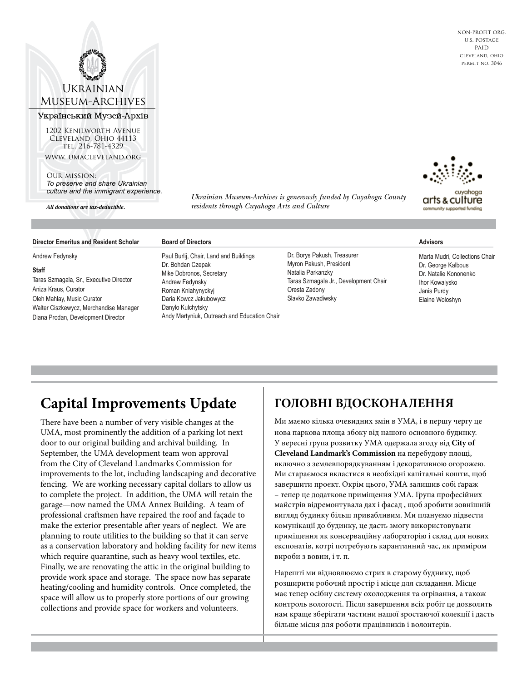#### Ukrainian Museum-Archives

#### Український Музей-Архів

1202 Kenilworth Avenue Cleveland, Ohio 44113 TEL. 216-781-4329 www. umacleveland.org

Our mission: *To preserve and share Ukrainian culture and the immigrant experience.*

*All donations are tax-deductible.*

*Ukrainian Museum-Archives is generously funded by Cuyahoga County residents through Cuyahoga Arts and Culture*

#### **Director Emeritus and Resident Scholar**

Andrew Fedynsky

#### **Staff**

Taras Szmagala, Sr., Executive Director Aniza Kraus, Curator Oleh Mahlay, Music Curator Walter Ciszkewycz, Merchandise Manager Diana Prodan, Development Director

#### **Board of Directors**

Paul Burlij, Chair, Land and Buildings Dr. Bohdan Czepak Mike Dobronos, Secretary Andrew Fedynsky Roman Kniahynyckyj Daria Kowcz Jakubowycz Danylo Kulchytsky Andy Martyniuk, Outreach and Education Chair Dr. Borys Pakush, Treasurer Myron Pakush, President Natalia Parkanzky Taras Szmagala Jr., Development Chair Oresta Zadony Slavko Zawadiwsky

#### **Advisors**

Marta Mudri, Collections Chair Dr. George Kalbous Dr. Natalie Kononenko Ihor Kowalysko Janis Purdy Elaine Woloshyn

## **Capital Improvements Update**

There have been a number of very visible changes at the UMA, most prominently the addition of a parking lot next door to our original building and archival building. In September, the UMA development team won approval from the City of Cleveland Landmarks Commission for improvements to the lot, including landscaping and decorative fencing. We are working necessary capital dollars to allow us to complete the project. In addition, the UMA will retain the garage—now named the UMA Annex Building. A team of professional craftsmen have repaired the roof and façade to make the exterior presentable after years of neglect. We are planning to route utilities to the building so that it can serve as a conservation laboratory and holding facility for new items which require quarantine, such as heavy wool textiles, etc. Finally, we are renovating the attic in the original building to provide work space and storage. The space now has separate heating/cooling and humidity controls. Once completed, the space will allow us to properly store portions of our growing collections and provide space for workers and volunteers.

#### **ГОЛОВНІ ВДОСКОНАЛЕННЯ**

Ми маємо кілька очевидних змін в УМА, і в першу чергу це нова паркова площа збоку від нашого основного будинку. У вересні група розвитку УМА одержала згоду від **City of Cleveland Landmark's Commission** на перебудову площі, включно з землевпорядкуванням і декоративною огорожею. Ми стараємося вкластися в необхідні капітальні кошти, щоб завершити проєкт. Окрім цього, УМА залишив собі ґараж – тепер це додаткове приміщення УМА. Група професійних майстрів відремонтувала дах і фасад , щоб зробити зовнішній вигляд будинку більш привабливим. Ми плануємо підвести комунікації до будинку, це дасть змогу використовувати приміщення як консерваційну лабораторію і склад для нових експонатів, котрі потребують карантинний час, як приміром вироби з вовни, і т. п.

Нарешті ми відновлюємо стрих в старому буднику, щоб розширити робочий простір і місце для складання. Місце має тепер осібну систему охолодження та огрівання, а також контроль вологості. Після завершення всіх робіт це дозволить нам краще зберігати частини нашої зростаючої колекції і дасть більше місця для роботи працівників і волонтерів.



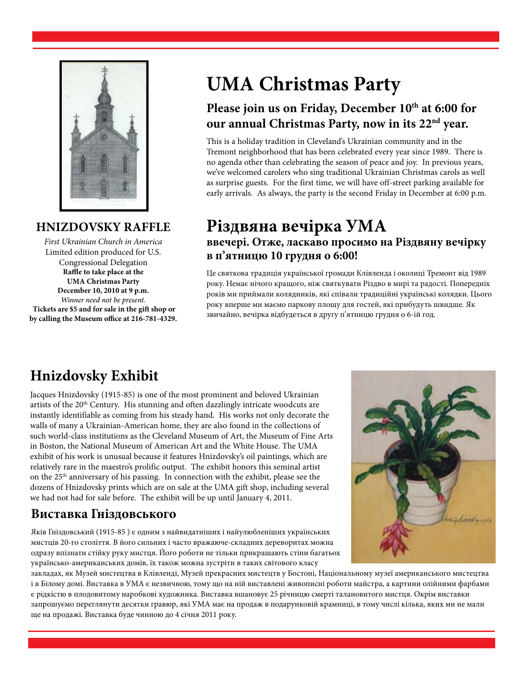

#### **HNIZDOVSKY RAFFLE**

*First Ukrainian Church in America* Limited edition produced for U.S. Congressional Delegation **Raffle to take place at the UMA Christmas Party December 10, 2010 at 9 p.m.** *Winner need not be present.*  **Tickets are \$5 and for sale in the gift shop or by calling the Museum office at 216-781-4329.**

# **UMA Christmas Party**

## Please join us on Friday, December 10<sup>th</sup> at 6:00 for **our annual Christmas Party, now in its 22nd year.**

This is a holiday tradition in Cleveland's Ukrainian community and in the Tremont neighborhood that has been celebrated every year since 1989. There is no agenda other than celebrating the season of peace and joy. In previous years, we've welcomed carolers who sing traditional Ukrainian Christmas carols as well as surprise guests. For the first time, we will have off-street parking available for early arrivals. As always, the party is the second Friday in December at 6:00 p.m.

## **Різдвяна вечірка УМА ввечері. Отже, ласкаво просимо на Різдвяну вечірку в п'ятницю 10 грудня о 6:00!**

Це святкова традиція української громади Клівленда і околиці Тремонт від 1989 року. Немає нічого кращого, ніж святкувати Різдво в мирі та радості. Попередніх років ми приймали колядників, які співали традиційні українські колядки. Цього року вперше ми маємо паркову площу для гостей, які прибудуть швидше. Як звичайно, вечірка відбудеться в другу п'ятницю грудня о 6-ій год.

## **Hnizdovsky Exhibit**

Jacques Hnizdovsky (1915-85) is one of the most prominent and beloved Ukrainian artists of the 20<sup>th</sup> Century. His stunning and often dazzlingly intricate woodcuts are instantly identifiable as coming from his steady hand. His works not only decorate the walls of many a Ukrainian-American home, they are also found in the collections of such world-class institutions as the Cleveland Museum of Art, the Museum of Fine Arts in Boston, the National Museum of American Art and the White House. The UMA exhibit of his work is unusual because it features Hnizdovsky's oil paintings, which are relatively rare in the maestro's prolific output. The exhibit honors this seminal artist on the 25<sup>th</sup> anniversary of his passing. In connection with the exhibit, please see the dozens of Hnizdovsky prints which are on sale at the UMA gift shop, including several we had not had for sale before. The exhibit will be up until January 4, 2011.

#### **Виставка Гніздовського**

Яків Гніздовський (1915-85 ) є одним з найвидатніших і найулюбленіших українських мистців 20-го століття. В його сильних і часто вражаюче-складних дереворитах можна одразу впізнати стійку руку мистця. Його роботи не тільки прикрашають стіни багатьох українсько-американських домів, їх також можна зустріти в таких світового класу



закладах, як Музей мистецтва в Клівленді, Музей прекрасних мистецтв у Бостоні, Національному музеї американського мистецтва і в Білому домі. Виставка в УМА є незвичною, тому що на ній виставлені живописні роботи майстра, а картини олійними фарбами є рідкістю в плодовитому наробкові художника. Виставка вшановує 25 річницю смерті талановитого мистця. Окрім виставки запрошуємо переглянути десятки гравюр, які УМА має на продаж в подарунковій крамниці, в тому числі кілька, яких ми не мали ще на продажі. Виставка буде чинною до 4 січня 2011 року.